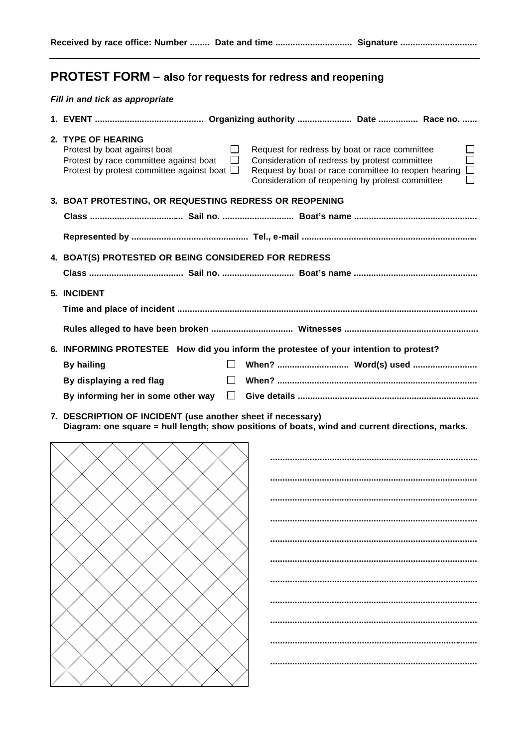## **PROTEST FORM – also for requests for redress and reopening**

## *Fill in and tick as appropriate*

| 2. TYPE OF HEARING<br>Protest by boat against boat<br>$\perp$<br>Protest by race committee against boat<br>$\Box$<br>Protest by protest committee against boat $\square$ | Request for redress by boat or race committee<br>$\Box$<br>Consideration of redress by protest committee<br>$\Box$<br>Request by boat or race committee to reopen hearing<br>Consideration of reopening by protest committee |
|--------------------------------------------------------------------------------------------------------------------------------------------------------------------------|------------------------------------------------------------------------------------------------------------------------------------------------------------------------------------------------------------------------------|
| 3. BOAT PROTESTING, OR REQUESTING REDRESS OR REOPENING                                                                                                                   |                                                                                                                                                                                                                              |
|                                                                                                                                                                          |                                                                                                                                                                                                                              |
|                                                                                                                                                                          |                                                                                                                                                                                                                              |
| 4. BOAT(S) PROTESTED OR BEING CONSIDERED FOR REDRESS                                                                                                                     |                                                                                                                                                                                                                              |
|                                                                                                                                                                          |                                                                                                                                                                                                                              |
| 5. INCIDENT                                                                                                                                                              |                                                                                                                                                                                                                              |
|                                                                                                                                                                          |                                                                                                                                                                                                                              |
|                                                                                                                                                                          |                                                                                                                                                                                                                              |
|                                                                                                                                                                          | 6. INFORMING PROTESTEE How did you inform the protestee of your intention to protest?                                                                                                                                        |
| <b>By hailing</b>                                                                                                                                                        |                                                                                                                                                                                                                              |
| $\perp$                                                                                                                                                                  |                                                                                                                                                                                                                              |
| By displaying a red flag                                                                                                                                                 |                                                                                                                                                                                                                              |
| By informing her in some other way<br>$\perp$                                                                                                                            |                                                                                                                                                                                                                              |
|                                                                                                                                                                          |                                                                                                                                                                                                                              |

**7. DESCRIPTION OF INCIDENT (use another sheet if necessary) Diagram: one square = hull length; show positions of boats, wind and current directions, marks.**